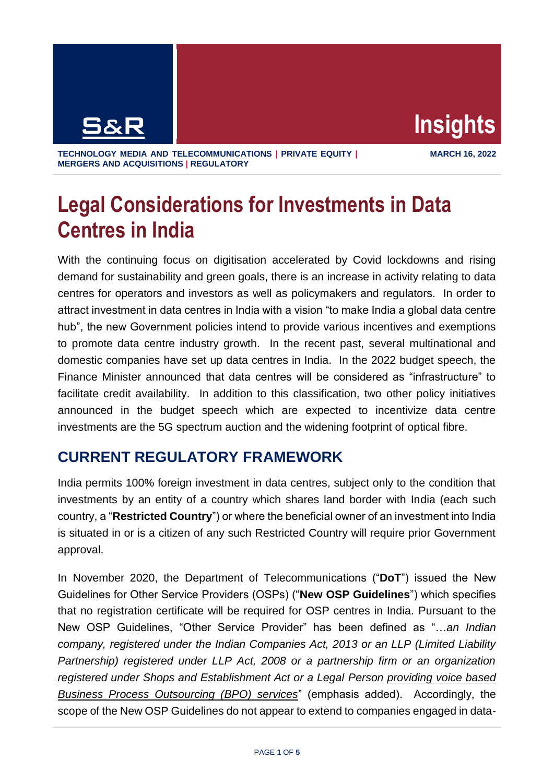

**TECHNOLOGY MEDIA AND TELECOMMUNICATIONS | PRIVATE EQUITY | MERGERS AND ACQUISITIONS | REGULATORY**

# **Legal Considerations for Investments in Data Centres in India**

With the continuing focus on digitisation accelerated by Covid lockdowns and rising demand for sustainability and green goals, there is an increase in activity relating to data centres for operators and investors as well as policymakers and regulators. In order to attract investment in data centres in India with a vision "to make India a global data centre hub", the new Government policies intend to provide various incentives and exemptions to promote data centre industry growth. In the recent past, several multinational and domestic companies have set up data centres in India. In the 2022 budget speech, the Finance Minister announced that data centres will be considered as "infrastructure" to facilitate credit availability. In addition to this classification, two other policy initiatives announced in the budget speech which are expected to incentivize data centre investments are the 5G spectrum auction and the widening footprint of optical fibre.

# **CURRENT REGULATORY FRAMEWORK**

India permits 100% foreign investment in data centres, subject only to the condition that investments by an entity of a country which shares land border with India (each such country, a "**Restricted Country**") or where the beneficial owner of an investment into India is situated in or is a citizen of any such Restricted Country will require prior Government approval.

In November 2020, the Department of Telecommunications ("**DoT**") issued the New Guidelines for Other Service Providers (OSPs) ("**New OSP Guidelines**") which specifies that no registration certificate will be required for OSP centres in India. Pursuant to the New OSP Guidelines, "Other Service Provider" has been defined as "…*an Indian company, registered under the Indian Companies Act, 2013 or an LLP (Limited Liability Partnership) registered under LLP Act, 2008 or a partnership firm or an organization registered under Shops and Establishment Act or a Legal Person providing voice based Business Process Outsourcing (BPO) services*" (emphasis added). Accordingly, the scope of the New OSP Guidelines do not appear to extend to companies engaged in data-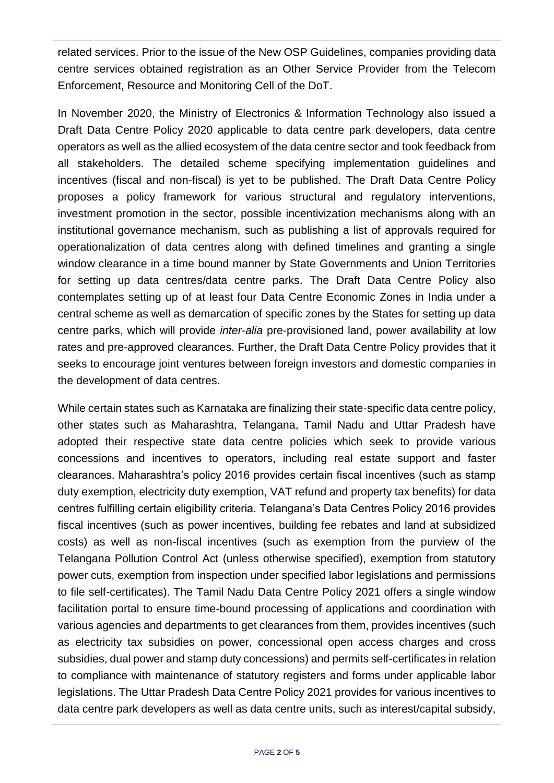related services. Prior to the issue of the New OSP Guidelines, companies providing data centre services obtained registration as an Other Service Provider from the Telecom Enforcement, Resource and Monitoring Cell of the DoT.

In November 2020, the Ministry of Electronics & Information Technology also issued a Draft Data Centre Policy 2020 applicable to data centre park developers, data centre operators as well as the allied ecosystem of the data centre sector and took feedback from all stakeholders. The detailed scheme specifying implementation guidelines and incentives (fiscal and non-fiscal) is yet to be published. The Draft Data Centre Policy proposes a policy framework for various structural and regulatory interventions, investment promotion in the sector, possible incentivization mechanisms along with an institutional governance mechanism, such as publishing a list of approvals required for operationalization of data centres along with defined timelines and granting a single window clearance in a time bound manner by State Governments and Union Territories for setting up data centres/data centre parks. The Draft Data Centre Policy also contemplates setting up of at least four Data Centre Economic Zones in India under a central scheme as well as demarcation of specific zones by the States for setting up data centre parks, which will provide *inter-alia* pre-provisioned land, power availability at low rates and pre-approved clearances. Further, the Draft Data Centre Policy provides that it seeks to encourage joint ventures between foreign investors and domestic companies in the development of data centres.

While certain states such as Karnataka are finalizing their state-specific data centre policy, other states such as Maharashtra, Telangana, Tamil Nadu and Uttar Pradesh have adopted their respective state data centre policies which seek to provide various concessions and incentives to operators, including real estate support and faster clearances. Maharashtra's policy 2016 provides certain fiscal incentives (such as stamp duty exemption, electricity duty exemption, VAT refund and property tax benefits) for data centres fulfilling certain eligibility criteria. Telangana's Data Centres Policy 2016 provides fiscal incentives (such as power incentives, building fee rebates and land at subsidized costs) as well as non-fiscal incentives (such as exemption from the purview of the Telangana Pollution Control Act (unless otherwise specified), exemption from statutory power cuts, exemption from inspection under specified labor legislations and permissions to file self-certificates). The Tamil Nadu Data Centre Policy 2021 offers a single window facilitation portal to ensure time-bound processing of applications and coordination with various agencies and departments to get clearances from them, provides incentives (such as electricity tax subsidies on power, concessional open access charges and cross subsidies, dual power and stamp duty concessions) and permits self-certificates in relation to compliance with maintenance of statutory registers and forms under applicable labor legislations. The Uttar Pradesh Data Centre Policy 2021 provides for various incentives to data centre park developers as well as data centre units, such as interest/capital subsidy,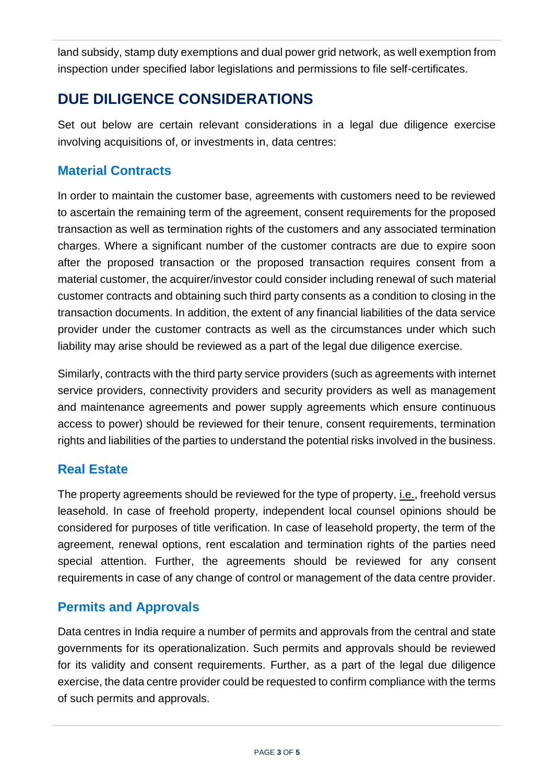land subsidy, stamp duty exemptions and dual power grid network, as well exemption from inspection under specified labor legislations and permissions to file self-certificates.

# **DUE DILIGENCE CONSIDERATIONS**

Set out below are certain relevant considerations in a legal due diligence exercise involving acquisitions of, or investments in, data centres:

### **Material Contracts**

In order to maintain the customer base, agreements with customers need to be reviewed to ascertain the remaining term of the agreement, consent requirements for the proposed transaction as well as termination rights of the customers and any associated termination charges. Where a significant number of the customer contracts are due to expire soon after the proposed transaction or the proposed transaction requires consent from a material customer, the acquirer/investor could consider including renewal of such material customer contracts and obtaining such third party consents as a condition to closing in the transaction documents. In addition, the extent of any financial liabilities of the data service provider under the customer contracts as well as the circumstances under which such liability may arise should be reviewed as a part of the legal due diligence exercise.

Similarly, contracts with the third party service providers (such as agreements with internet service providers, connectivity providers and security providers as well as management and maintenance agreements and power supply agreements which ensure continuous access to power) should be reviewed for their tenure, consent requirements, termination rights and liabilities of the parties to understand the potential risks involved in the business.

## **Real Estate**

The property agreements should be reviewed for the type of property, i.e., freehold versus leasehold. In case of freehold property, independent local counsel opinions should be considered for purposes of title verification. In case of leasehold property, the term of the agreement, renewal options, rent escalation and termination rights of the parties need special attention. Further, the agreements should be reviewed for any consent requirements in case of any change of control or management of the data centre provider.

## **Permits and Approvals**

Data centres in India require a number of permits and approvals from the central and state governments for its operationalization. Such permits and approvals should be reviewed for its validity and consent requirements. Further, as a part of the legal due diligence exercise, the data centre provider could be requested to confirm compliance with the terms of such permits and approvals.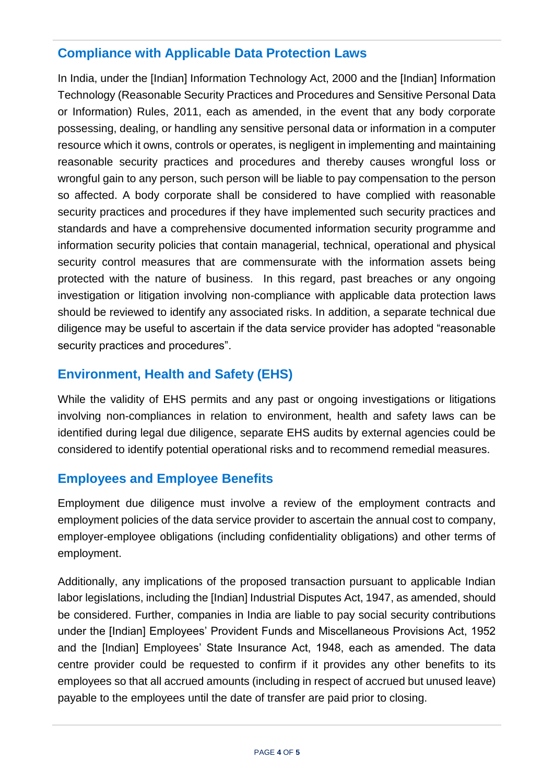### **Compliance with Applicable Data Protection Laws**

In India, under the [Indian] Information Technology Act, 2000 and the [Indian] Information Technology (Reasonable Security Practices and Procedures and Sensitive Personal Data or Information) Rules, 2011, each as amended, in the event that any body corporate possessing, dealing, or handling any sensitive personal data or information in a computer resource which it owns, controls or operates, is negligent in implementing and maintaining reasonable security practices and procedures and thereby causes wrongful loss or wrongful gain to any person, such person will be liable to pay compensation to the person so affected. A body corporate shall be considered to have complied with reasonable security practices and procedures if they have implemented such security practices and standards and have a comprehensive documented information security programme and information security policies that contain managerial, technical, operational and physical security control measures that are commensurate with the information assets being protected with the nature of business. In this regard, past breaches or any ongoing investigation or litigation involving non-compliance with applicable data protection laws should be reviewed to identify any associated risks. In addition, a separate technical due diligence may be useful to ascertain if the data service provider has adopted "reasonable security practices and procedures".

## **Environment, Health and Safety (EHS)**

While the validity of EHS permits and any past or ongoing investigations or litigations involving non-compliances in relation to environment, health and safety laws can be identified during legal due diligence, separate EHS audits by external agencies could be considered to identify potential operational risks and to recommend remedial measures.

#### **Employees and Employee Benefits**

Employment due diligence must involve a review of the employment contracts and employment policies of the data service provider to ascertain the annual cost to company, employer-employee obligations (including confidentiality obligations) and other terms of employment.

Additionally, any implications of the proposed transaction pursuant to applicable Indian labor legislations, including the [Indian] Industrial Disputes Act, 1947, as amended, should be considered. Further, companies in India are liable to pay social security contributions under the [Indian] Employees' Provident Funds and Miscellaneous Provisions Act, 1952 and the [Indian] Employees' State Insurance Act, 1948, each as amended. The data centre provider could be requested to confirm if it provides any other benefits to its employees so that all accrued amounts (including in respect of accrued but unused leave) payable to the employees until the date of transfer are paid prior to closing.